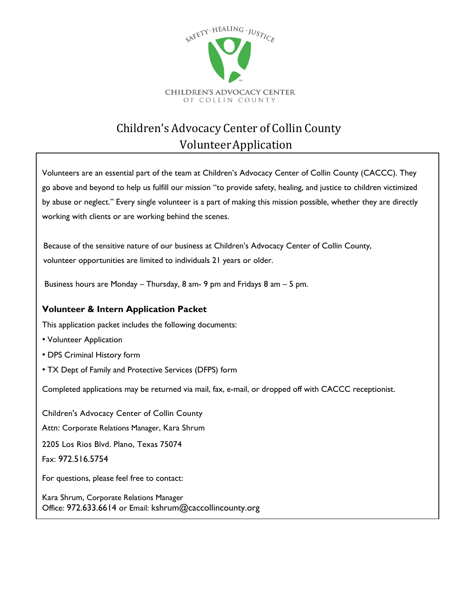

# Children's Advocacy Center of Collin County VolunteerApplication

Volunteers are an essential part of the team at Children's Advocacy Center of Collin County (CACCC). They go above and beyond to help us fulfill our mission "to provide safety, healing, and justice to children victimized by abuse or neglect." Every single volunteer is a part of making this mission possible, whether they are directly working with clients or are working behind the scenes.

Because of the sensitive nature of our business at Children's Advocacy Center of Collin County, volunteer opportunities are limited to individuals 21 years or older.

Business hours are Monday – Thursday, 8 am- 9 pm and Fridays 8 am – 5 pm.

#### **Volunteer & Intern Application Packet**

This application packet includes the following documents:

- Volunteer Application
- DPS Criminal History form
- TX Dept of Family and Protective Services (DFPS) form

Completed applications may be returned via mail, fax, e-mail, or dropped off with CACCC receptionist.

Children's Advocacy Center of Collin County Attn: Corporate Relations Manager, Kara Shrum 2205 Los Rios Blvd. Plano, Texas 75074 Fax: 972.516.5754 For questions, please feel free to contact:

Kara Shrum, Corporate Relations Manager Office: 972.633.6614 or Email: kshrum@caccollincounty.org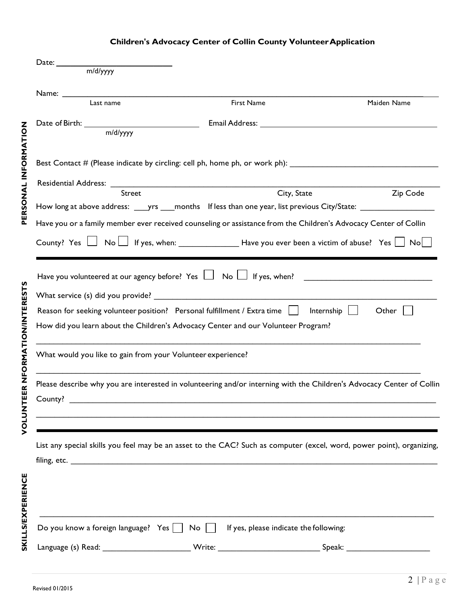### **Children's Advocacy Center of Collin County Volunteer Application**

|                         | Date: m/d/yyyy                                                                                                                                                                                                                              |             |             |  |  |  |  |  |
|-------------------------|---------------------------------------------------------------------------------------------------------------------------------------------------------------------------------------------------------------------------------------------|-------------|-------------|--|--|--|--|--|
|                         | Name: Name and the state of the state of the state of the state of the state of the state of the state of the state of the state of the state of the state of the state of the state of the state of the state of the state of<br>Last name | First Name  | Maiden Name |  |  |  |  |  |
|                         |                                                                                                                                                                                                                                             |             |             |  |  |  |  |  |
|                         | Date of Birth: $\frac{m/d/yyyy}{m/d/yyyy}$                                                                                                                                                                                                  |             |             |  |  |  |  |  |
| <b>DRMA</b>             |                                                                                                                                                                                                                                             |             |             |  |  |  |  |  |
|                         | Best Contact # (Please indicate by circling: cell ph, home ph, or work ph): ________________________                                                                                                                                        |             |             |  |  |  |  |  |
|                         |                                                                                                                                                                                                                                             |             |             |  |  |  |  |  |
|                         | Street                                                                                                                                                                                                                                      | City, State | Zip Code    |  |  |  |  |  |
| PERSONAI                | How long at above address: _____yrs _____months If less than one year, list previous City/State: ___________________                                                                                                                        |             |             |  |  |  |  |  |
|                         | Have you or a family member ever received counseling or assistance from the Children's Advocacy Center of Collin                                                                                                                            |             |             |  |  |  |  |  |
|                         |                                                                                                                                                                                                                                             |             |             |  |  |  |  |  |
|                         |                                                                                                                                                                                                                                             |             |             |  |  |  |  |  |
|                         |                                                                                                                                                                                                                                             |             |             |  |  |  |  |  |
| ່ທ<br>⊔<br>ERI<br>"     |                                                                                                                                                                                                                                             |             |             |  |  |  |  |  |
|                         | Reason for seeking volunteer position? Personal fulfillment / Extra time     Internship  <br>Other                                                                                                                                          |             |             |  |  |  |  |  |
| NIN<br>0<br>1           | How did you learn about the Children's Advocacy Center and our Volunteer Program?                                                                                                                                                           |             |             |  |  |  |  |  |
| <b>NEORNAT</b>          | What would you like to gain from your Volunteer experience?                                                                                                                                                                                 |             |             |  |  |  |  |  |
|                         | Please describe why you are interested in volunteering and/or interning with the Children's Advocacy Center of Collin                                                                                                                       |             |             |  |  |  |  |  |
|                         |                                                                                                                                                                                                                                             |             |             |  |  |  |  |  |
|                         | <u> 1989 - Andrea Santa Andrea Santa Andrea Santa Andrea Santa Andrea Santa Andrea Santa Andrea Santa Andrea San</u>                                                                                                                        |             |             |  |  |  |  |  |
| <b>NUNO</b>             |                                                                                                                                                                                                                                             |             |             |  |  |  |  |  |
|                         | List any special skills you feel may be an asset to the CAC? Such as computer (excel, word, power point), organizing,                                                                                                                       |             |             |  |  |  |  |  |
|                         |                                                                                                                                                                                                                                             |             |             |  |  |  |  |  |
|                         |                                                                                                                                                                                                                                             |             |             |  |  |  |  |  |
|                         |                                                                                                                                                                                                                                             |             |             |  |  |  |  |  |
|                         |                                                                                                                                                                                                                                             |             |             |  |  |  |  |  |
| <b>SKILLS/EXPERIENC</b> | Do you know a foreign language? Yes $\vert$ No $\vert$ If yes, please indicate the following:                                                                                                                                               |             |             |  |  |  |  |  |
|                         |                                                                                                                                                                                                                                             |             |             |  |  |  |  |  |
|                         |                                                                                                                                                                                                                                             |             |             |  |  |  |  |  |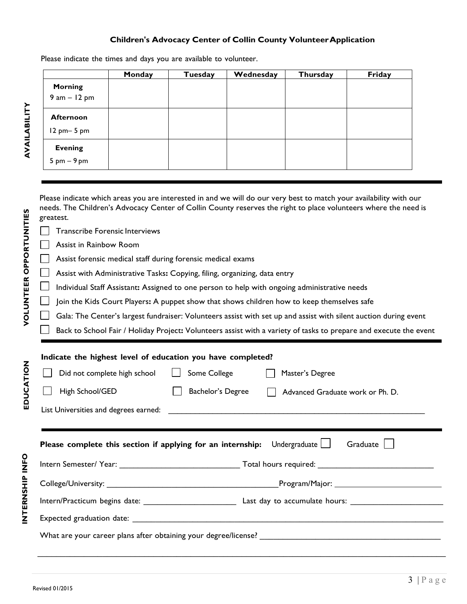#### **Children's Advocacy Center of Collin County Volunteer Application**

Please indicate the times and days you are available to volunteer.

|                                                 | Monday | Tuesday | Wednesday | Thursday | Friday |
|-------------------------------------------------|--------|---------|-----------|----------|--------|
| <b>Morning</b><br>$9 am - 12 pm$                |        |         |           |          |        |
| <b>Afternoon</b><br>$12$ pm $-5$ pm             |        |         |           |          |        |
| <b>Evening</b><br>$5 \text{ pm} - 9 \text{ pm}$ |        |         |           |          |        |

Please indicate which areas you are interested in and we will do our very best to match your availability with our needs. The Children's Advocacy Center of Collin County reserves the right to place volunteers where the need is greatest.

Transcribe Forensic Interviews

Assist in Rainbow Room

Assist forensic medical staff during forensic medical exams

Assist with Administrative Tasks**:** Copying, filing, organizing, data entry

 $\perp$ Individual Staff Assistant**:** Assigned to one person to help with ongoing administrative needs

Join the Kids Court Players**:** A puppet show that shows children how to keep themselves safe

Gala: The Center's largest fundraiser: Volunteers assist with set up and assist with silent auction during event

Back to School Fair / Holiday Project**:** Volunteers assist with a variety of tasks to prepare and execute the event

| Indicate the highest level of education you have completed?                                                         |                   |                                  |  |  |  |  |  |  |  |
|---------------------------------------------------------------------------------------------------------------------|-------------------|----------------------------------|--|--|--|--|--|--|--|
| Did not complete high school   Some College<br>Master's Degree                                                      |                   |                                  |  |  |  |  |  |  |  |
| High School/GED                                                                                                     | Bachelor's Degree | Advanced Graduate work or Ph. D. |  |  |  |  |  |  |  |
|                                                                                                                     |                   |                                  |  |  |  |  |  |  |  |
|                                                                                                                     |                   |                                  |  |  |  |  |  |  |  |
| Graduate $\vert \ \vert$<br><b>Please complete this section if applying for an internship:</b> Undergraduate $\Box$ |                   |                                  |  |  |  |  |  |  |  |
|                                                                                                                     |                   |                                  |  |  |  |  |  |  |  |
|                                                                                                                     |                   |                                  |  |  |  |  |  |  |  |
|                                                                                                                     |                   |                                  |  |  |  |  |  |  |  |
|                                                                                                                     |                   |                                  |  |  |  |  |  |  |  |
|                                                                                                                     |                   |                                  |  |  |  |  |  |  |  |

 $\_$  , and the set of the set of the set of the set of the set of the set of the set of the set of the set of the set of the set of the set of the set of the set of the set of the set of the set of the set of the set of th

**AVAILABILIT AVAILABILITY** 

**EDUCATIO**

Z<br>EH<br>INT

**S HIP IN F O**

**N**

**S**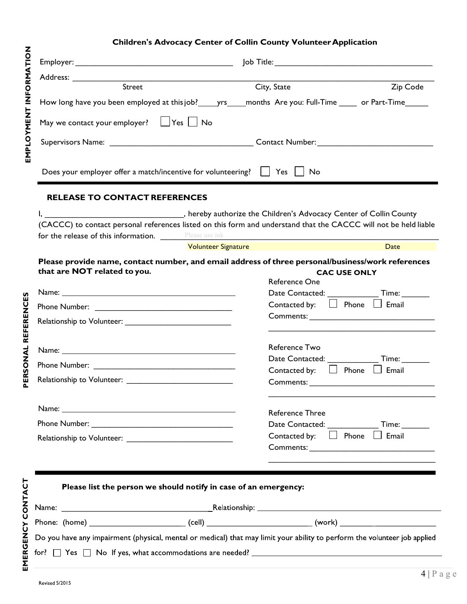### **Children's Advocacy Center of Collin County VolunteerApplication**

| <u> 1989 - Johann Stoff, deutscher Stoff, der Stoff, der Stoff, der Stoff, der Stoff, der Stoff, der Stoff, der S</u><br>Street |                                                                  |                                                                                                                           |             |  |  |  |  |
|---------------------------------------------------------------------------------------------------------------------------------|------------------------------------------------------------------|---------------------------------------------------------------------------------------------------------------------------|-------------|--|--|--|--|
|                                                                                                                                 |                                                                  | City, State                                                                                                               | Zip Code    |  |  |  |  |
|                                                                                                                                 |                                                                  | How long have you been employed at this job? ______yrs______months Are you: Full-Time ______ or Part-Time ______          |             |  |  |  |  |
| May we contact your employer? $\Box$ Yes $\Box$ No                                                                              |                                                                  |                                                                                                                           |             |  |  |  |  |
|                                                                                                                                 |                                                                  |                                                                                                                           |             |  |  |  |  |
|                                                                                                                                 |                                                                  |                                                                                                                           |             |  |  |  |  |
| Does your employer offer a match/incentive for volunteering? $\Box$ Yes $\Box$ No                                               |                                                                  |                                                                                                                           |             |  |  |  |  |
| <b>RELEASE TO CONTACT REFERENCES</b>                                                                                            |                                                                  |                                                                                                                           |             |  |  |  |  |
|                                                                                                                                 |                                                                  | I, 1. 2011 County (2013), hereby authorize the Children's Advocacy Center of Collin County                                |             |  |  |  |  |
|                                                                                                                                 |                                                                  | (CACCC) to contact personal references listed on this form and understand that the CACCC will not be held liable          |             |  |  |  |  |
| for the release of this information. Please use ink                                                                             |                                                                  |                                                                                                                           |             |  |  |  |  |
|                                                                                                                                 | <b>Volunteer Signature</b>                                       |                                                                                                                           | <b>Date</b> |  |  |  |  |
|                                                                                                                                 |                                                                  | Please provide name, contact number, and email address of three personal/business/work references                         |             |  |  |  |  |
| that are NOT related to you.                                                                                                    |                                                                  | <b>CAC USE ONLY</b>                                                                                                       |             |  |  |  |  |
|                                                                                                                                 |                                                                  | Reference One                                                                                                             |             |  |  |  |  |
|                                                                                                                                 |                                                                  | Date Contacted: Time:                                                                                                     |             |  |  |  |  |
|                                                                                                                                 |                                                                  | Contacted by: $\Box$ Phone $\Box$ Email                                                                                   |             |  |  |  |  |
|                                                                                                                                 |                                                                  |                                                                                                                           |             |  |  |  |  |
|                                                                                                                                 |                                                                  |                                                                                                                           |             |  |  |  |  |
|                                                                                                                                 |                                                                  |                                                                                                                           |             |  |  |  |  |
|                                                                                                                                 |                                                                  | Reference Two                                                                                                             |             |  |  |  |  |
|                                                                                                                                 |                                                                  | Date Contacted: Time:                                                                                                     |             |  |  |  |  |
|                                                                                                                                 |                                                                  | Contacted by: $\Box$ Phone $\Box$ Email                                                                                   |             |  |  |  |  |
|                                                                                                                                 |                                                                  |                                                                                                                           |             |  |  |  |  |
|                                                                                                                                 |                                                                  | <b>Reference Three</b>                                                                                                    |             |  |  |  |  |
|                                                                                                                                 |                                                                  | Date Contacted: ________________ Time: ________                                                                           |             |  |  |  |  |
|                                                                                                                                 |                                                                  | Contacted by: $\Box$ Phone $\Box$ Email                                                                                   |             |  |  |  |  |
|                                                                                                                                 |                                                                  |                                                                                                                           |             |  |  |  |  |
|                                                                                                                                 |                                                                  |                                                                                                                           |             |  |  |  |  |
|                                                                                                                                 |                                                                  |                                                                                                                           |             |  |  |  |  |
|                                                                                                                                 | Please list the person we should notify in case of an emergency: |                                                                                                                           |             |  |  |  |  |
|                                                                                                                                 |                                                                  |                                                                                                                           |             |  |  |  |  |
|                                                                                                                                 |                                                                  |                                                                                                                           |             |  |  |  |  |
|                                                                                                                                 |                                                                  |                                                                                                                           |             |  |  |  |  |
|                                                                                                                                 |                                                                  |                                                                                                                           |             |  |  |  |  |
|                                                                                                                                 |                                                                  | Do you have any impairment (physical, mental or medical) that may limit your ability to perform the volunteer job applied |             |  |  |  |  |

**EMERGENC**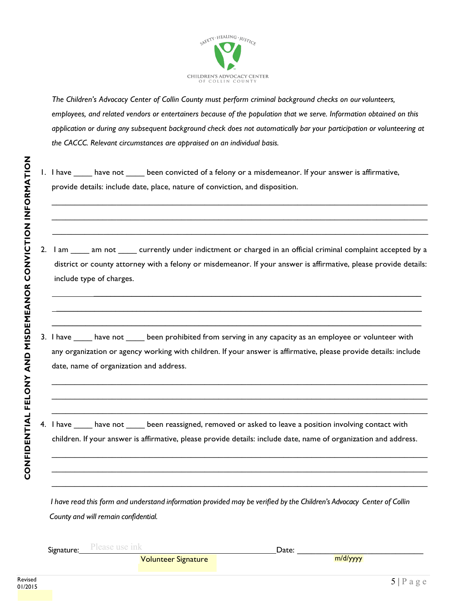

*The Children's Advocacy Center of Collin County must perform criminal background checks on ourvolunteers,* employees, and related vendors or entertainers because of the population that we serve. Information obtained on this application or during any subsequent background check does not automatically bar your participation or volunteering at *the CACCC. Relevant circumstances are appraised on an individual basis.*

- 1. I have have not been convicted of a felony or a misdemeanor. If your answer is affirmative, provide details: include date, place, nature of conviction, and disposition.
- 2. I am \_\_\_\_ am not \_\_\_\_ currently under indictment or charged in an official criminal complaint accepted by a district or county attorney with a felony or misdemeanor. If your answer is affirmative, please provide details: include type of charges.

 **\_\_\_\_\_\_\_\_\_\_\_\_\_\_\_\_\_\_\_\_\_\_\_\_\_\_\_\_\_\_\_\_\_\_\_\_\_\_\_\_\_\_\_\_\_\_\_\_\_\_\_\_\_\_\_\_\_\_\_\_\_\_\_\_\_\_\_\_\_\_\_\_\_\_\_\_\_\_ \_\_\_\_\_\_\_\_\_\_\_\_\_\_\_\_\_\_\_\_\_\_\_\_\_\_\_\_\_\_\_\_\_\_\_\_\_\_\_\_\_\_\_\_\_\_\_\_\_\_\_\_\_\_\_\_\_\_\_\_\_\_\_\_\_\_\_\_\_\_\_\_\_\_\_\_\_\_\_\_\_\_\_\_\_\_\_ \_\_\_\_\_\_\_\_\_\_\_\_\_\_\_\_\_\_\_\_\_\_\_\_\_\_\_\_\_\_\_\_\_\_\_\_\_\_\_\_\_\_\_\_\_\_\_\_\_\_\_\_\_\_\_\_\_\_\_\_\_\_\_\_\_\_\_\_\_\_\_\_\_\_\_\_\_\_\_\_\_\_\_\_\_\_\_\_**

 $\_$  ,  $\_$  ,  $\_$  ,  $\_$  ,  $\_$  ,  $\_$  ,  $\_$  ,  $\_$  ,  $\_$  ,  $\_$  ,  $\_$  ,  $\_$  ,  $\_$  ,  $\_$  ,  $\_$  ,  $\_$  ,  $\_$  ,  $\_$  ,  $\_$  ,  $\_$  ,  $\_$  ,  $\_$  ,  $\_$  ,  $\_$  ,  $\_$  ,  $\_$  ,  $\_$  ,  $\_$  ,  $\_$  ,  $\_$  ,  $\_$  ,  $\_$  ,  $\_$  ,  $\_$  ,  $\_$  ,  $\_$  ,  $\_$  ,  $\_$  ,  $\_$  ,  $\_$  ,  $\_$  ,  $\_$  ,  $\_$  ,  $\_$  ,  $\_$  ,  $\_$  ,  $\_$  ,  $\_$  ,  $\_$  ,  $\_$  ,  $\_$  ,  $\_$  ,  $\_$  ,  $\_$  ,  $\_$  ,  $\_$  ,  $\_$  ,  $\_$  ,  $\_$  ,  $\_$  ,  $\_$  ,  $\_$  ,  $\_$  ,  $\_$  ,  $\_$  ,  $\_$  ,  $\_$  ,  $\_$  ,  $\_$  ,  $\_$  ,  $\_$  ,  $\_$  ,  $\_$  ,  $\_$  , \_\_\_\_\_\_\_\_\_\_\_\_\_\_\_\_\_\_\_\_\_\_\_\_\_\_\_\_\_\_\_\_\_\_\_\_\_\_\_\_\_\_\_\_\_\_\_\_\_\_\_\_\_\_\_\_\_\_\_\_\_\_\_\_\_\_\_\_\_\_\_\_\_\_\_\_\_\_\_\_\_

3. I have have not been prohibited from serving in any capacity as an employee or volunteer with any organization or agency working with children. If your answer is affirmative, please provide details: include date, name of organization and address.

\_\_\_\_\_\_\_\_\_\_\_\_\_\_\_\_\_\_\_\_\_\_\_\_\_\_\_\_\_\_\_\_\_\_\_\_\_\_\_\_\_\_\_\_\_\_\_\_\_\_\_\_\_\_\_\_\_\_\_\_\_\_\_\_\_\_\_\_\_\_\_\_\_\_\_\_\_\_\_\_\_  $\_$  ,  $\_$  ,  $\_$  ,  $\_$  ,  $\_$  ,  $\_$  ,  $\_$  ,  $\_$  ,  $\_$  ,  $\_$  ,  $\_$  ,  $\_$  ,  $\_$  ,  $\_$  ,  $\_$  ,  $\_$  ,  $\_$  ,  $\_$  ,  $\_$  ,  $\_$  ,  $\_$  ,  $\_$  ,  $\_$  ,  $\_$  ,  $\_$  ,  $\_$  ,  $\_$  ,  $\_$  ,  $\_$  ,  $\_$  ,  $\_$  ,  $\_$  ,  $\_$  ,  $\_$  ,  $\_$  ,  $\_$  ,  $\_$  ,  $\_$  ,  $\_$  ,  $\_$  ,  $\_$  ,  $\_$  ,  $\_$  ,  $\_$  ,  $\_$  ,  $\_$  ,  $\_$  ,  $\_$  ,  $\_$  ,  $\_$  ,  $\_$  ,  $\_$  ,  $\_$  ,  $\_$  ,  $\_$  ,  $\_$  ,  $\_$  ,  $\_$  ,  $\_$  ,  $\_$  ,  $\_$  ,  $\_$  ,  $\_$  ,  $\_$  ,  $\_$  ,  $\_$  ,  $\_$  ,  $\_$  ,  $\_$  ,  $\_$  ,  $\_$  ,  $\_$  ,  $\_$  ,  $\_$  ,

4. I have have not been reassigned, removed or asked to leave a position involving contact with children. If your answer is affirmative, please provide details: include date, name of organization and address.

 $\_$  ,  $\_$  ,  $\_$  ,  $\_$  ,  $\_$  ,  $\_$  ,  $\_$  ,  $\_$  ,  $\_$  ,  $\_$  ,  $\_$  ,  $\_$  ,  $\_$  ,  $\_$  ,  $\_$  ,  $\_$  ,  $\_$  ,  $\_$  ,  $\_$  ,  $\_$  ,  $\_$  ,  $\_$  ,  $\_$  ,  $\_$  ,  $\_$  ,  $\_$  ,  $\_$  ,  $\_$  ,  $\_$  ,  $\_$  ,  $\_$  ,  $\_$  ,  $\_$  ,  $\_$  ,  $\_$  ,  $\_$  ,  $\_$  ,  $\_$  ,  $\_$  ,  $\_$  ,  $\_$  ,  $\_$  ,  $\_$  ,  $\_$  ,  $\_$  ,  $\_$  ,  $\_$  ,  $\_$  ,  $\_$  ,  $\_$  ,  $\_$  ,  $\_$  ,  $\_$  ,  $\_$  ,  $\_$  ,  $\_$  ,  $\_$  ,  $\_$  ,  $\_$  ,  $\_$  ,  $\_$  ,  $\_$  ,  $\_$  ,  $\_$  ,  $\_$  ,  $\_$  ,  $\_$  ,  $\_$  ,  $\_$  ,  $\_$  ,  $\_$  ,  $\_$  ,  $\_$  ,  $\_$  , \_\_\_\_\_\_\_\_\_\_\_\_\_\_\_\_\_\_\_\_\_\_\_\_\_\_\_\_\_\_\_\_\_\_\_\_\_\_\_\_\_\_\_\_\_\_\_\_\_\_\_\_\_\_\_\_\_\_\_\_\_\_\_\_\_\_\_\_\_\_\_\_\_\_\_\_\_\_\_\_\_

I have read this form and understand information provided may be verified by the Children's Advocacy Center of Collin *County and will remain confidential.*

| Signature:<br>- - | <b><i><u>LLLL</u></i></b><br>$\sim$<br>. |  | Date: |     |  |
|-------------------|------------------------------------------|--|-------|-----|--|
|                   |                                          |  |       | . . |  |

**Volunteer Signature** 

**N**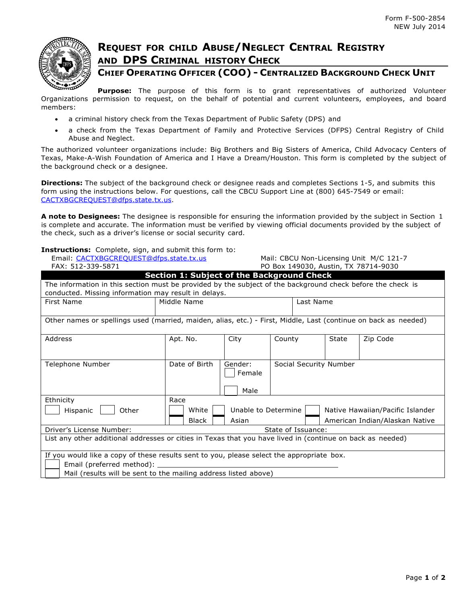

## **REQUEST FOR CHILD ABUSE/NEGLECT CENTRAL REGISTRY AND DPS CRIMINAL HISTORY CHECK**

### **CHIEF OPERATING OFFICER (COO) - CENTRALIZED BACKGROUND CHECK UNIT**

**Purpose:** The purpose of this form is to grant representatives of authorized Volunteer Organizations permission to request, on the behalf of potential and current volunteers, employees, and board members:

- a criminal history check from the Texas Department of Public Safety (DPS) and
- a check from the Texas Department of Family and Protective Services (DFPS) Central Registry of Child Abuse and Neglect.

The authorized volunteer organizations include: Big Brothers and Big Sisters of America, Child Advocacy Centers of Texas, Make-A-Wish Foundation of America and I Have a Dream/Houston. This form is completed by the subject of the background check or a designee.

**Directions:** The subject of the background check or designee reads and completes Sections 1-5, and submits this form using the instructions below. For questions, call the CBCU Support Line at (800) 645-7549 or email: [CACTXBGCREQUEST@dfps.state.tx.us.](mailto:CACTXBGCREQUEST@dfps.state.tx.us)

**A note to Designees:** The designee is responsible for ensuring the information provided by the subject in Section 1 is complete and accurate. The information must be verified by viewing official documents provided by the subject of the check, such as a driver's license or social security card.

#### **Instructions:** Complete, sign, and submit this form to:

| Email: CACTXBGCREQUEST@dfps.state.tx.us                                                                                                                                                     |               | Mail: CBCU Non-Licensing Unit M/C 121-7 |                                                         |                                |          |  |  |
|---------------------------------------------------------------------------------------------------------------------------------------------------------------------------------------------|---------------|-----------------------------------------|---------------------------------------------------------|--------------------------------|----------|--|--|
| FAX: 512-339-5871                                                                                                                                                                           |               | PO Box 149030, Austin, TX 78714-9030    |                                                         |                                |          |  |  |
| <b>Section 1: Subject of the Background Check</b>                                                                                                                                           |               |                                         |                                                         |                                |          |  |  |
| The information in this section must be provided by the subject of the background check before the check is<br>conducted. Missing information may result in delays.                         |               |                                         |                                                         |                                |          |  |  |
| <b>First Name</b>                                                                                                                                                                           | Middle Name   |                                         |                                                         | Last Name                      |          |  |  |
| Other names or spellings used (married, maiden, alias, etc.) - First, Middle, Last (continue on back as needed)                                                                             |               |                                         |                                                         |                                |          |  |  |
| Address                                                                                                                                                                                     | Apt. No.      | City                                    | County                                                  | State                          | Zip Code |  |  |
| Telephone Number                                                                                                                                                                            | Date of Birth | Gender:<br>Female<br>Male               |                                                         | Social Security Number         |          |  |  |
| Ethnicity<br>Race                                                                                                                                                                           |               |                                         |                                                         |                                |          |  |  |
| Hispanic<br>Other                                                                                                                                                                           | White         |                                         | Unable to Determine<br>Native Hawaiian/Pacific Islander |                                |          |  |  |
|                                                                                                                                                                                             | Asian         |                                         |                                                         | American Indian/Alaskan Native |          |  |  |
| Driver's License Number:<br>State of Issuance:                                                                                                                                              |               |                                         |                                                         |                                |          |  |  |
| List any other additional addresses or cities in Texas that you have lived in (continue on back as needed)                                                                                  |               |                                         |                                                         |                                |          |  |  |
| If you would like a copy of these results sent to you, please select the appropriate box.<br>Email (preferred method): _<br>Mail (results will be sent to the mailing address listed above) |               |                                         |                                                         |                                |          |  |  |